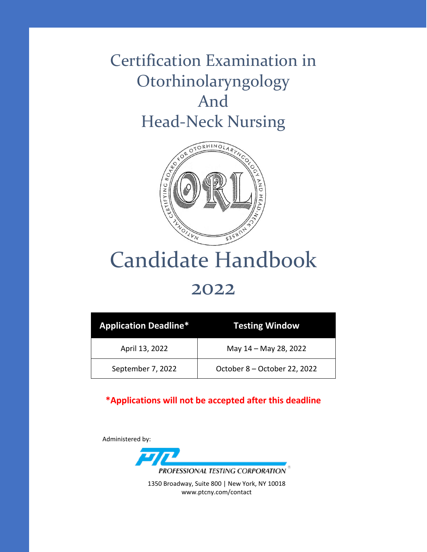# Certification Examination in Otorhinolaryngology And Head-Neck Nursing



# Candidate Handbook

## 2022

| <b>Application Deadline*</b> | <b>Testing Window</b>        |
|------------------------------|------------------------------|
| April 13, 2022               | May 14 - May 28, 2022        |
| September 7, 2022            | October 8 - October 22, 2022 |

#### **\*Applications will not be accepted after this deadline**

Administered by:



1350 Broadway, Suite 800 | New York, NY 10018 www.ptcny.com/contact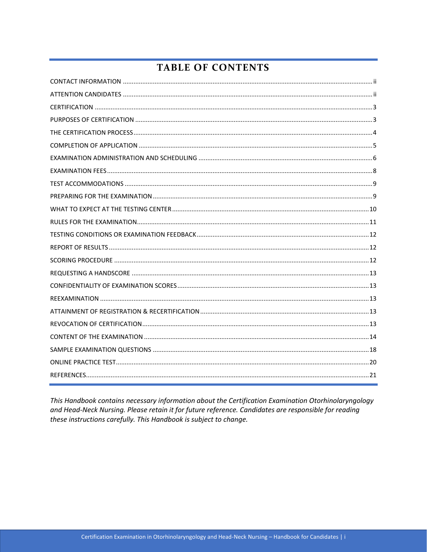## **TABLE OF CONTENTS**

This Handbook contains necessary information about the Certification Examination Otorhinolaryngology and Head-Neck Nursing. Please retain it for future reference. Candidates are responsible for reading these instructions carefully. This Handbook is subject to change.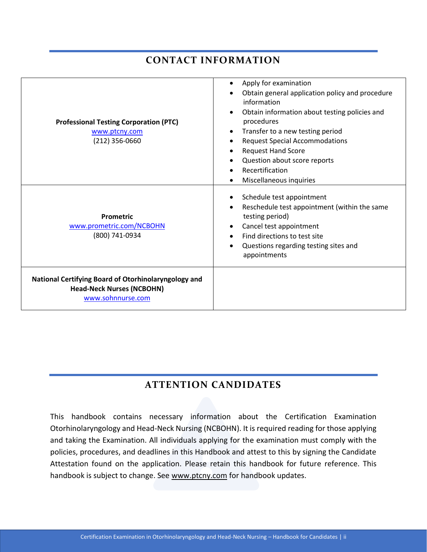## **CONTACT INFORMATION**

<span id="page-2-0"></span>

| <b>Professional Testing Corporation (PTC)</b><br>www.ptcny.com<br>$(212)$ 356-0660                            | Apply for examination<br>Obtain general application policy and procedure<br>information<br>Obtain information about testing policies and<br>procedures<br>Transfer to a new testing period<br><b>Request Special Accommodations</b><br><b>Request Hand Score</b><br>Question about score reports<br>Recertification<br>Miscellaneous inquiries |
|---------------------------------------------------------------------------------------------------------------|------------------------------------------------------------------------------------------------------------------------------------------------------------------------------------------------------------------------------------------------------------------------------------------------------------------------------------------------|
| <b>Prometric</b><br>www.prometric.com/NCBOHN<br>(800) 741-0934                                                | Schedule test appointment<br>Reschedule test appointment (within the same<br>testing period)<br>Cancel test appointment<br>Find directions to test site<br>Questions regarding testing sites and<br>appointments                                                                                                                               |
| National Certifying Board of Otorhinolaryngology and<br><b>Head-Neck Nurses (NCBOHN)</b><br>www.sohnnurse.com |                                                                                                                                                                                                                                                                                                                                                |

## **ATTENTION CANDIDATES**

<span id="page-2-1"></span>This handbook contains necessary information about the Certification Examination Otorhinolaryngology and Head-Neck Nursing (NCBOHN). It is required reading for those applying and taking the Examination. All individuals applying for the examination must comply with the policies, procedures, and deadlines in this Handbook and attest to this by signing the Candidate Attestation found on the application. Please retain this handbook for future reference. This handbook is subject to change. See [www.ptcny.com](http://www.ptcny.com/) for handbook updates.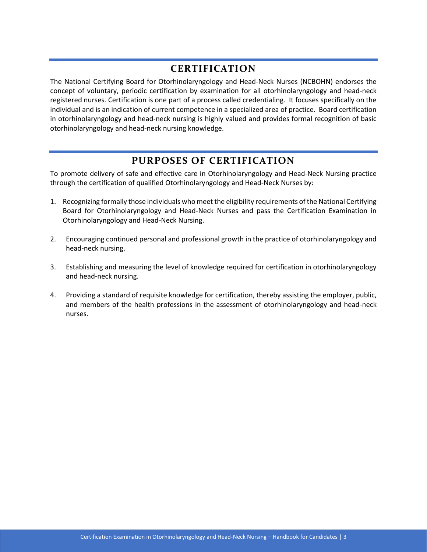#### **CERTIFICATION**

<span id="page-3-0"></span>The National Certifying Board for Otorhinolaryngology and Head-Neck Nurses (NCBOHN) endorses the concept of voluntary, periodic certification by examination for all otorhinolaryngology and head-neck registered nurses. Certification is one part of a process called credentialing. It focuses specifically on the individual and is an indication of current competence in a specialized area of practice. Board certification in otorhinolaryngology and head-neck nursing is highly valued and provides formal recognition of basic otorhinolaryngology and head-neck nursing knowledge.

#### **PURPOSES OF CERTIFICATION**

<span id="page-3-1"></span>To promote delivery of safe and effective care in Otorhinolaryngology and Head-Neck Nursing practice through the certification of qualified Otorhinolaryngology and Head-Neck Nurses by:

- 1. Recognizing formally those individuals who meet the eligibility requirements of the National Certifying Board for Otorhinolaryngology and Head-Neck Nurses and pass the Certification Examination in Otorhinolaryngology and Head-Neck Nursing.
- 2. Encouraging continued personal and professional growth in the practice of otorhinolaryngology and head-neck nursing.
- 3. Establishing and measuring the level of knowledge required for certification in otorhinolaryngology and head-neck nursing.
- 4. Providing a standard of requisite knowledge for certification, thereby assisting the employer, public, and members of the health professions in the assessment of otorhinolaryngology and head-neck nurses.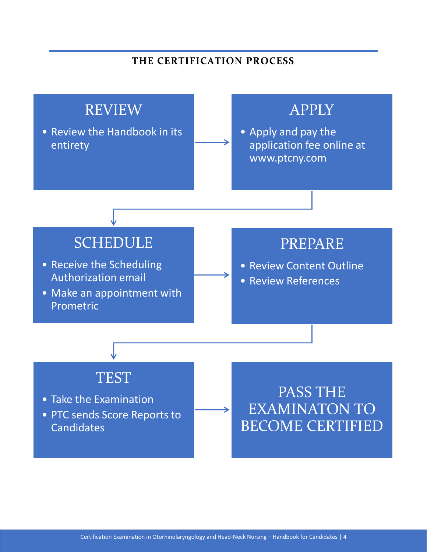#### **THE CERTIFICATION PROCESS**

<span id="page-4-0"></span>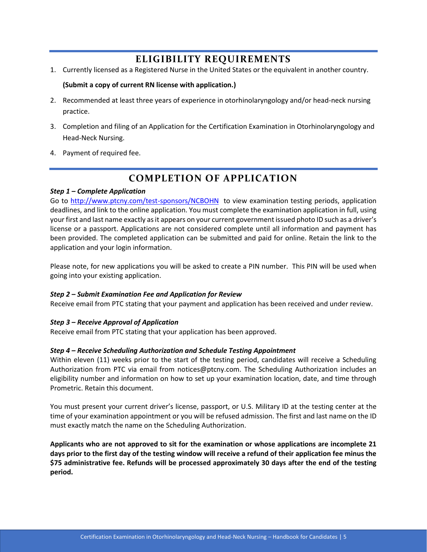### **ELIGIBILITY REQUIREMENTS**

1. Currently licensed as a Registered Nurse in the United States or the equivalent in another country.

#### **(Submit a copy of current RN license with application.)**

- 2. Recommended at least three years of experience in otorhinolaryngology and/or head-neck nursing practice.
- 3. Completion and filing of an Application for the Certification Examination in Otorhinolaryngology and Head-Neck Nursing.
- <span id="page-5-0"></span>4. Payment of required fee.

#### **COMPLETION OF APPLICATION**

#### *Step 1 – Complete Application*

Go to<http://www.ptcny.com/test-sponsors/NCBOHN>to view examination testing periods, application deadlines, and link to the online application. You must complete the examination application in full, using your first and last name exactly as it appears on your current government issued photo ID such as a driver's license or a passport. Applications are not considered complete until all information and payment has been provided. The completed application can be submitted and paid for online. Retain the link to the application and your login information.

Please note, for new applications you will be asked to create a PIN number. This PIN will be used when going into your existing application.

#### *Step 2 – Submit Examination Fee and Application for Review*

Receive email from PTC stating that your payment and application has been received and under review.

#### *Step 3 – Receive Approval of Application*

Receive email from PTC stating that your application has been approved.

#### *Step 4 – Receive Scheduling Authorization and Schedule Testing Appointment*

Within eleven (11) weeks prior to the start of the testing period, candidates will receive a Scheduling Authorization from PTC via email from notices@ptcny.com. The Scheduling Authorization includes an eligibility number and information on how to set up your examination location, date, and time through Prometric. Retain this document.

You must present your current driver's license, passport, or U.S. Military ID at the testing center at the time of your examination appointment or you will be refused admission. The first and last name on the ID must exactly match the name on the Scheduling Authorization.

**Applicants who are not approved to sit for the examination or whose applications are incomplete 21 days prior to the first day of the testing window will receive a refund of their application fee minus the \$75 administrative fee. Refunds will be processed approximately 30 days after the end of the testing period.**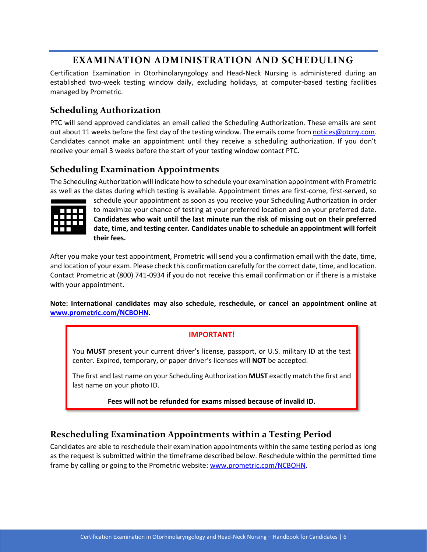### **EXAMINATION ADMINISTRATION AND SCHEDULING**

<span id="page-6-0"></span>Certification Examination in Otorhinolaryngology and Head-Neck Nursing is administered during an established two-week testing window daily, excluding holidays, at computer-based testing facilities managed by Prometric.

#### **Scheduling Authorization**

PTC will send approved candidates an email called the Scheduling Authorization. These emails are sent out about 11 weeks before the first day of the testing window. The emails come from notices @ptcny.com. Candidates cannot make an appointment until they receive a scheduling authorization. If you don't receive your email 3 weeks before the start of your testing window contact PTC.

#### **Scheduling Examination Appointments**

The Scheduling Authorization will indicate how to schedule your examination appointment with Prometric as well as the dates during which testing is available. Appointment times are first-come, first-served, so



schedule your appointment as soon as you receive your Scheduling Authorization in order to maximize your chance of testing at your preferred location and on your preferred date. **Candidates who wait until the last minute run the risk of missing out on their preferred date, time, and testing center. Candidates unable to schedule an appointment will forfeit their fees.**

After you make your test appointment, Prometric will send you a confirmation email with the date, time, and location of your exam. Please check this confirmation carefully for the correct date, time, and location. Contact Prometric at (800) 741-0934 if you do not receive this email confirmation or if there is a mistake with your appointment.

**Note: International candidates may also schedule, reschedule, or cancel an appointment online at [www.prometric.com/NCBOHN.](http://www.prometric.com/NCBOHN)** 

#### **IMPORTANT!**

You **MUST** present your current driver's license, passport, or U.S. military ID at the test center. Expired, temporary, or paper driver's licenses will **NOT** be accepted.

The first and last name on your Scheduling Authorization **MUST** exactly match the first and last name on your photo ID.

**Fees will not be refunded for exams missed because of invalid ID.**

#### **Rescheduling Examination Appointments within a Testing Period**

Candidates are able to reschedule their examination appointments within the same testing period as long as the request is submitted within the timeframe described below. Reschedule within the permitted time frame by calling or going to the Prometric website: [www.prometric.com/NCBOHN.](http://www.prometric.com/NCBOHN)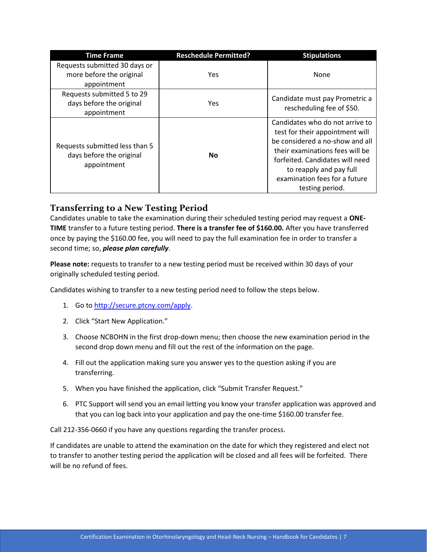| <b>Time Frame</b>                                                         | <b>Reschedule Permitted?</b> | <b>Stipulations</b>                                                                                                                                                                                                                                        |
|---------------------------------------------------------------------------|------------------------------|------------------------------------------------------------------------------------------------------------------------------------------------------------------------------------------------------------------------------------------------------------|
| Requests submitted 30 days or<br>more before the original<br>appointment  | Yes                          | None                                                                                                                                                                                                                                                       |
| Requests submitted 5 to 29<br>days before the original<br>appointment     | Yes                          | Candidate must pay Prometric a<br>rescheduling fee of \$50.                                                                                                                                                                                                |
| Requests submitted less than 5<br>days before the original<br>appointment | <b>No</b>                    | Candidates who do not arrive to<br>test for their appointment will<br>be considered a no-show and all<br>their examinations fees will be<br>forfeited. Candidates will need<br>to reapply and pay full<br>examination fees for a future<br>testing period. |

#### **Transferring to a New Testing Period**

Candidates unable to take the examination during their scheduled testing period may request a **ONE-TIME** transfer to a future testing period. **There is a transfer fee of \$160.00.** After you have transferred once by paying the \$160.00 fee, you will need to pay the full examination fee in order to transfer a second time; so, *please plan carefully*.

**Please note:** requests to transfer to a new testing period must be received within 30 days of your originally scheduled testing period.

Candidates wishing to transfer to a new testing period need to follow the steps below.

- 1. Go to [http://secure.ptcny.com/apply.](http://secure.ptcny.com/apply)
- 2. Click "Start New Application."
- 3. Choose NCBOHN in the first drop-down menu; then choose the new examination period in the second drop down menu and fill out the rest of the information on the page.
- 4. Fill out the application making sure you answer yes to the question asking if you are transferring.
- 5. When you have finished the application, click "Submit Transfer Request."
- 6. PTC Support will send you an email letting you know your transfer application was approved and that you can log back into your application and pay the one-time \$160.00 transfer fee.

Call 212-356-0660 if you have any questions regarding the transfer process.

If candidates are unable to attend the examination on the date for which they registered and elect not to transfer to another testing period the application will be closed and all fees will be forfeited. There will be no refund of fees.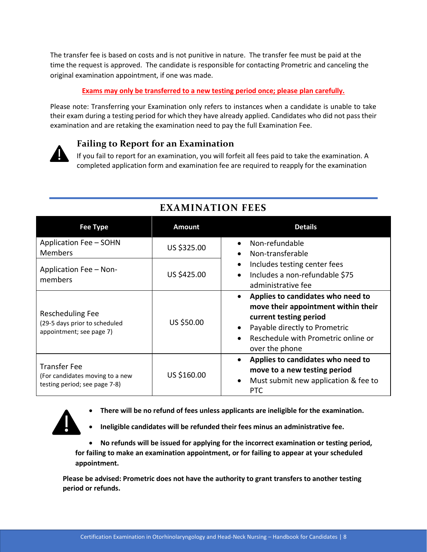The transfer fee is based on costs and is not punitive in nature. The transfer fee must be paid at the time the request is approved. The candidate is responsible for contacting Prometric and canceling the original examination appointment, if one was made.

#### **Exams may only be transferred to a new testing period once; please plan carefully.**

Please note: Transferring your Examination only refers to instances when a candidate is unable to take their exam during a testing period for which they have already applied. Candidates who did not pass their examination and are retaking the examination need to pay the full Examination Fee.



#### **Failing to Report for an Examination**

If you fail to report for an examination, you will forfeit all fees paid to take the examination. A completed application form and examination fee are required to reapply for the examination

<span id="page-8-0"></span>

| <b>Fee Type</b>                                                                         | <b>Amount</b> | <b>Details</b>                                                                                                                                                                                                         |  |
|-----------------------------------------------------------------------------------------|---------------|------------------------------------------------------------------------------------------------------------------------------------------------------------------------------------------------------------------------|--|
| Application Fee - SOHN<br><b>Members</b>                                                | US \$325.00   | Non-refundable<br>Non-transferable<br>$\bullet$<br>Includes testing center fees<br>$\bullet$<br>Includes a non-refundable \$75<br>$\bullet$<br>administrative fee                                                      |  |
| Application Fee - Non-<br>members                                                       | US \$425.00   |                                                                                                                                                                                                                        |  |
| Rescheduling Fee<br>(29-5 days prior to scheduled<br>appointment; see page 7)           | US \$50.00    | Applies to candidates who need to<br>$\bullet$<br>move their appointment within their<br>current testing period<br>Payable directly to Prometric<br>$\bullet$<br>Reschedule with Prometric online or<br>over the phone |  |
| <b>Transfer Fee</b><br>(For candidates moving to a new<br>testing period; see page 7-8) | US \$160.00   | Applies to candidates who need to<br>$\bullet$<br>move to a new testing period<br>Must submit new application & fee to<br>$\bullet$<br><b>PTC</b>                                                                      |  |

## **EXAMINATION FEES**

• **There will be no refund of fees unless applicants are ineligible for the examination.**

• **Ineligible candidates will be refunded their fees minus an administrative fee.** 

• **No refunds will be issued for applying for the incorrect examination or testing period, for failing to make an examination appointment, or for failing to appear at your scheduled appointment.** 

**Please be advised: Prometric does not have the authority to grant transfers to another testing period or refunds.**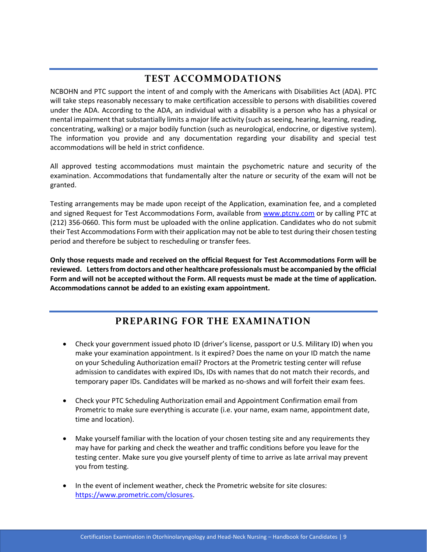## **TEST ACCOMMODATIONS**

<span id="page-9-0"></span>NCBOHN and PTC support the intent of and comply with the Americans with Disabilities Act (ADA). PTC will take steps reasonably necessary to make certification accessible to persons with disabilities covered under the ADA. According to the ADA, an individual with a disability is a person who has a physical or mental impairment that substantially limits a major life activity (such as seeing, hearing, learning, reading, concentrating, walking) or a major bodily function (such as neurological, endocrine, or digestive system). The information you provide and any documentation regarding your disability and special test accommodations will be held in strict confidence.

All approved testing accommodations must maintain the psychometric nature and security of the examination. Accommodations that fundamentally alter the nature or security of the exam will not be granted.

Testing arrangements may be made upon receipt of the Application, examination fee, and a completed and signed Request for Test Accommodations Form, available from [www.ptcny.com](http://www.ptcny.com/) or by calling PTC at (212) 356-0660. This form must be uploaded with the online application. Candidates who do not submit their Test Accommodations Form with their application may not be able to test during their chosen testing period and therefore be subject to rescheduling or transfer fees.

**Only those requests made and received on the official Request for Test Accommodations Form will be reviewed. Letters from doctors and other healthcare professionals must be accompanied by the official Form and will not be accepted without the Form. All requests must be made at the time of application. Accommodations cannot be added to an existing exam appointment.**

## **PREPARING FOR THE EXAMINATION**

- <span id="page-9-1"></span>• Check your government issued photo ID (driver's license, passport or U.S. Military ID) when you make your examination appointment. Is it expired? Does the name on your ID match the name on your Scheduling Authorization email? Proctors at the Prometric testing center will refuse admission to candidates with expired IDs, IDs with names that do not match their records, and temporary paper IDs. Candidates will be marked as no-shows and will forfeit their exam fees.
- Check your PTC Scheduling Authorization email and Appointment Confirmation email from Prometric to make sure everything is accurate (i.e. your name, exam name, appointment date, time and location).
- Make yourself familiar with the location of your chosen testing site and any requirements they may have for parking and check the weather and traffic conditions before you leave for the testing center. Make sure you give yourself plenty of time to arrive as late arrival may prevent you from testing.
- In the event of inclement weather, check the Prometric website for site closures: [https://www.prometric.com/closures.](https://www.prometric.com/closures)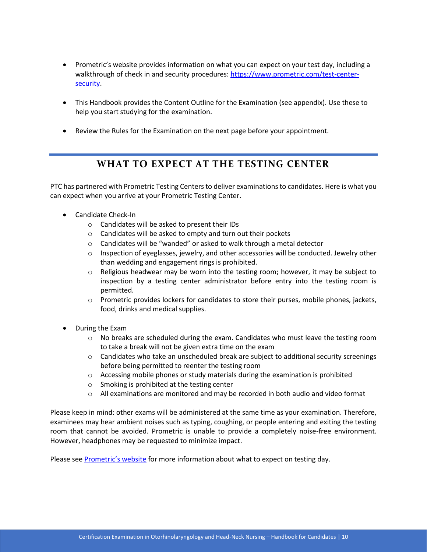- Prometric's website provides information on what you can expect on your test day, including a walkthrough of check in and security procedures[: https://www.prometric.com/test-center](https://www.prometric.com/test-center-security)[security.](https://www.prometric.com/test-center-security)
- This Handbook provides the Content Outline for the Examination (see appendix). Use these to help you start studying for the examination.
- <span id="page-10-0"></span>• Review the Rules for the Examination on the next page before your appointment.

#### **WHAT TO EXPECT AT THE TESTING CENTER**

PTC has partnered with Prometric Testing Centers to deliver examinations to candidates. Here is what you can expect when you arrive at your Prometric Testing Center.

- Candidate Check-In
	- o Candidates will be asked to present their IDs
	- o Candidates will be asked to empty and turn out their pockets
	- o Candidates will be "wanded" or asked to walk through a metal detector
	- $\circ$  Inspection of eyeglasses, jewelry, and other accessories will be conducted. Jewelry other than wedding and engagement rings is prohibited.
	- $\circ$  Religious headwear may be worn into the testing room; however, it may be subject to inspection by a testing center administrator before entry into the testing room is permitted.
	- $\circ$  Prometric provides lockers for candidates to store their purses, mobile phones, jackets, food, drinks and medical supplies.
- During the Exam
	- $\circ$  No breaks are scheduled during the exam. Candidates who must leave the testing room to take a break will not be given extra time on the exam
	- $\circ$  Candidates who take an unscheduled break are subject to additional security screenings before being permitted to reenter the testing room
	- $\circ$  Accessing mobile phones or study materials during the examination is prohibited
	- o Smoking is prohibited at the testing center
	- $\circ$  All examinations are monitored and may be recorded in both audio and video format

Please keep in mind: other exams will be administered at the same time as your examination. Therefore, examinees may hear ambient noises such as typing, coughing, or people entering and exiting the testing room that cannot be avoided. Prometric is unable to provide a completely noise-free environment. However, headphones may be requested to minimize impact.

Please see [Prometric's website](https://www.prometric.com/test-owners/frequently-asked-questions) for more information about what to expect on testing day.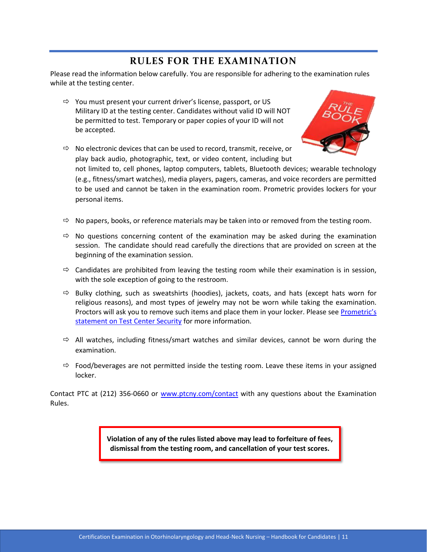#### **RULES FOR THE EXAMINATION**

<span id="page-11-0"></span>Please read the information below carefully. You are responsible for adhering to the examination rules while at the testing center.

 $\Rightarrow$  You must present your current driver's license, passport, or US Military ID at the testing center. Candidates without valid ID will NOT be permitted to test. Temporary or paper copies of your ID will not be accepted.



 $\Rightarrow$  No electronic devices that can be used to record, transmit, receive, or play back audio, photographic, text, or video content, including but

not limited to, cell phones, laptop computers, tablets, Bluetooth devices; wearable technology (e.g., fitness/smart watches), media players, pagers, cameras, and voice recorders are permitted to be used and cannot be taken in the examination room. Prometric provides lockers for your personal items.

- $\Rightarrow$  No papers, books, or reference materials may be taken into or removed from the testing room.
- $\Rightarrow$  No questions concerning content of the examination may be asked during the examination session. The candidate should read carefully the directions that are provided on screen at the beginning of the examination session.
- $\Rightarrow$  Candidates are prohibited from leaving the testing room while their examination is in session, with the sole exception of going to the restroom.
- $\Rightarrow$  Bulky clothing, such as sweatshirts (hoodies), jackets, coats, and hats (except hats worn for religious reasons), and most types of jewelry may not be worn while taking the examination. Proctors will ask you to remove such items and place them in your locker. Please see [Prometric's](https://www.prometric.com/sites/default/files/TestCenterRegulations.pdf)  [statement on Test Center Security](https://www.prometric.com/sites/default/files/TestCenterRegulations.pdf) for more information.
- $\Rightarrow$  All watches, including fitness/smart watches and similar devices, cannot be worn during the examination.
- $\Rightarrow$  Food/beverages are not permitted inside the testing room. Leave these items in your assigned locker.

Contact PTC at (212) 356-0660 or [www.ptcny.com/contact](http://www.ptcny.com/contact) with any questions about the Examination Rules.

> **Violation of any of the rules listed above may lead to forfeiture of fees, dismissal from the testing room, and cancellation of your test scores.**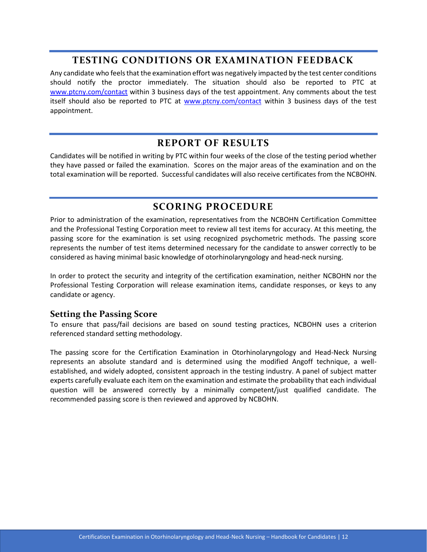#### **TESTING CONDITIONS OR EXAMINATION FEEDBACK**

<span id="page-12-0"></span>Any candidate who feels that the examination effort was negatively impacted by the test center conditions should notify the proctor immediately. The situation should also be reported to PTC at [www.ptcny.com/contact](http://www.ptcny.com/contact) within 3 business days of the test appointment. Any comments about the test itself should also be reported to PTC at [www.ptcny.com/contact](http://www.ptcny.com/contact) within 3 business days of the test appointment.

#### **REPORT OF RESULTS**

<span id="page-12-1"></span>Candidates will be notified in writing by PTC within four weeks of the close of the testing period whether they have passed or failed the examination. Scores on the major areas of the examination and on the total examination will be reported. Successful candidates will also receive certificates from the NCBOHN.

#### **SCORING PROCEDURE**

<span id="page-12-2"></span>Prior to administration of the examination, representatives from the NCBOHN Certification Committee and the Professional Testing Corporation meet to review all test items for accuracy. At this meeting, the passing score for the examination is set using recognized psychometric methods. The passing score represents the number of test items determined necessary for the candidate to answer correctly to be considered as having minimal basic knowledge of otorhinolaryngology and head-neck nursing.

In order to protect the security and integrity of the certification examination, neither NCBOHN nor the Professional Testing Corporation will release examination items, candidate responses, or keys to any candidate or agency.

#### **Setting the Passing Score**

To ensure that pass/fail decisions are based on sound testing practices, NCBOHN uses a criterion referenced standard setting methodology.

The passing score for the Certification Examination in Otorhinolaryngology and Head-Neck Nursing represents an absolute standard and is determined using the modified Angoff technique, a wellestablished, and widely adopted, consistent approach in the testing industry. A panel of subject matter experts carefully evaluate each item on the examination and estimate the probability that each individual question will be answered correctly by a minimally competent/just qualified candidate. The recommended passing score is then reviewed and approved by NCBOHN.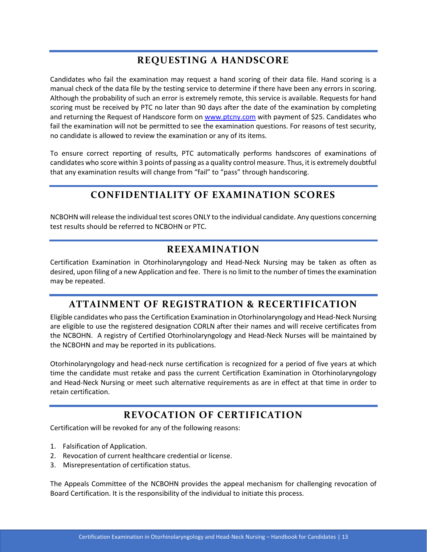## **REQUESTING A HANDSCORE**

<span id="page-13-0"></span>Candidates who fail the examination may request a hand scoring of their data file. Hand scoring is a manual check of the data file by the testing service to determine if there have been any errors in scoring. Although the probability of such an error is extremely remote, this service is available. Requests for hand scoring must be received by PTC no later than 90 days after the date of the examination by completing and returning the Request of Handscore form on [www.ptcny.com](http://www.ptcny.com/) with payment of \$25. Candidates who fail the examination will not be permitted to see the examination questions. For reasons of test security, no candidate is allowed to review the examination or any of its items.

<span id="page-13-1"></span>To ensure correct reporting of results, PTC automatically performs handscores of examinations of candidates who score within 3 points of passing as a quality control measure. Thus, it is extremely doubtful that any examination results will change from "fail" to "pass" through handscoring.

## **CONFIDENTIALITY OF EXAMINATION SCORES**

<span id="page-13-2"></span>NCBOHN will release the individual test scores ONLY to the individual candidate. Any questions concerning test results should be referred to NCBOHN or PTC.

#### **REEXAMINATION**

Certification Examination in Otorhinolaryngology and Head-Neck Nursing may be taken as often as desired, upon filing of a new Application and fee. There is no limit to the number of times the examination may be repeated.

## <span id="page-13-3"></span>**ATTAINMENT OF REGISTRATION & RECERTIFICATION**

Eligible candidates who pass the Certification Examination in Otorhinolaryngology and Head-Neck Nursing are eligible to use the registered designation CORLN after their names and will receive certificates from the NCBOHN. A registry of Certified Otorhinolaryngology and Head-Neck Nurses will be maintained by the NCBOHN and may be reported in its publications.

Otorhinolaryngology and head-neck nurse certification is recognized for a period of five years at which time the candidate must retake and pass the current Certification Examination in Otorhinolaryngology and Head-Neck Nursing or meet such alternative requirements as are in effect at that time in order to retain certification.

## **REVOCATION OF CERTIFICATION**

<span id="page-13-4"></span>Certification will be revoked for any of the following reasons:

- 1. Falsification of Application.
- 2. Revocation of current healthcare credential or license.
- 3. Misrepresentation of certification status.

The Appeals Committee of the NCBOHN provides the appeal mechanism for challenging revocation of Board Certification. It is the responsibility of the individual to initiate this process.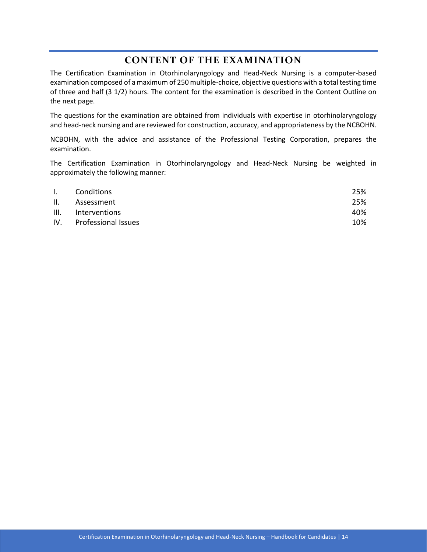#### **CONTENT OF THE EXAMINATION**

<span id="page-14-0"></span>The Certification Examination in Otorhinolaryngology and Head-Neck Nursing is a computer-based examination composed of a maximum of 250 multiple-choice, objective questions with a total testing time of three and half (3 1/2) hours. The content for the examination is described in the Content Outline on the next page.

The questions for the examination are obtained from individuals with expertise in otorhinolaryngology and head-neck nursing and are reviewed for construction, accuracy, and appropriateness by the NCBOHN.

NCBOHN, with the advice and assistance of the Professional Testing Corporation, prepares the examination.

The Certification Examination in Otorhinolaryngology and Head-Neck Nursing be weighted in approximately the following manner:

| $\mathbf{I}$ . | Conditions              | 25% |
|----------------|-------------------------|-----|
| H.             | Assessment              | 25% |
|                | III. Interventions      | 40% |
|                | IV. Professional Issues | 10% |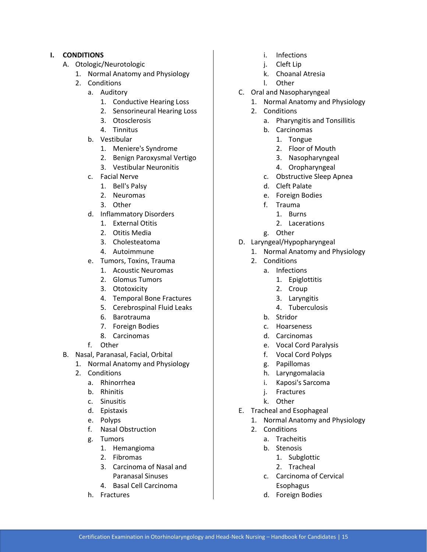#### **I. CONDITIONS**

- A. Otologic/Neurotologic
	- 1. Normal Anatomy and Physiology
	- 2. Conditions
		- a. Auditory
			- 1. Conductive Hearing Loss
			- 2. Sensorineural Hearing Loss
			- 3. Otosclerosis
			- 4. Tinnitus
		- b. Vestibular
			- 1. Meniere's Syndrome
			- 2. Benign Paroxysmal Vertigo
			- 3. Vestibular Neuronitis
		- c. Facial Nerve
			- 1. Bell's Palsy
			- 2. Neuromas
			- 3. Other
		- d. Inflammatory Disorders
			- 1. External Otitis
			- 2. Otitis Media
			- 3. Cholesteatoma
			- 4. Autoimmune
		- e. Tumors, Toxins, Trauma
			- 1. Acoustic Neuromas
			- 2. Glomus Tumors
			- 3. Ototoxicity
			- 4. Temporal Bone Fractures
			- 5. Cerebrospinal Fluid Leaks
			- 6. Barotrauma
			- 7. Foreign Bodies
			- 8. Carcinomas
		- f. Other
- B. Nasal, Paranasal, Facial, Orbital
	- 1. Normal Anatomy and Physiology
	- 2. Conditions
		- a. Rhinorrhea
		- b. Rhinitis
		- c. Sinusitis
		- d. Epistaxis
		- e. Polyps
		- f. Nasal Obstruction
		- g. Tumors
			- 1. Hemangioma
			- 2. Fibromas
			- 3. Carcinoma of Nasal and Paranasal Sinuses
			- 4. Basal Cell Carcinoma
		- h. Fractures
- i. Infections
- j. Cleft Lip
- k. Choanal Atresia
- l. Other
- C. Oral and Nasopharyngeal
	- 1. Normal Anatomy and Physiology
		- 2. Conditions
			- a. Pharyngitis and Tonsillitis
			- b. Carcinomas
				- 1. Tongue
				- 2. Floor of Mouth
				- 3. Nasopharyngeal
				- 4. Oropharyngeal
			- c. Obstructive Sleep Apnea
			- d. Cleft Palate
			- e. Foreign Bodies
			- f. Trauma
				- 1. Burns
				- 2. Lacerations
			- g. Other
- D. Laryngeal/Hypopharyngeal
	- 1. Normal Anatomy and Physiology
	- 2. Conditions
		- a. Infections
			- 1. Epiglottitis
			- 2. Croup
			- 3. Laryngitis
			- 4. Tuberculosis
		- b. Stridor
		- c. Hoarseness
		- d. Carcinomas
		- e. Vocal Cord Paralysis
		- f. Vocal Cord Polyps
		- g. Papillomas
		- h. Laryngomalacia
		- i. Kaposi's Sarcoma
		- j. Fractures
		- k. Other
- E. Tracheal and Esophageal
	- 1. Normal Anatomy and Physiology
	- 2. Conditions
		- a. Tracheitis
		- b. Stenosis
			- 1. Subglottic
			- 2. Tracheal
		- c. Carcinoma of Cervical Esophagus
		- d. Foreign Bodies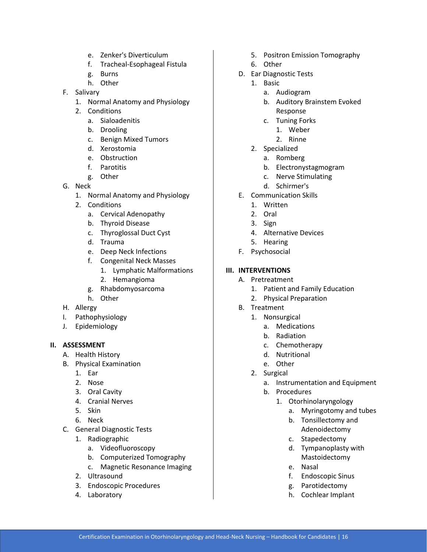- e. Zenker's Diverticulum
- f. Tracheal-Esophageal Fistula
- g. Burns
- h. Other
- F. Salivary
	- 1. Normal Anatomy and Physiology
	- 2. Conditions
		- a. Sialoadenitis
		- b. Drooling
		- c. Benign Mixed Tumors
		- d. Xerostomia
		- e. Obstruction
		- f. Parotitis
		- g. Other
- G. Neck
	- 1. Normal Anatomy and Physiology
	- 2. Conditions
		- a. Cervical Adenopathy
		- b. Thyroid Disease
		- c. Thyroglossal Duct Cyst
		- d. Trauma
		- e. Deep Neck Infections
		- f. Congenital Neck Masses
			- 1. Lymphatic Malformations
			- 2. Hemangioma
		- g. Rhabdomyosarcoma
	- h. Other
- H. Allergy
- I. Pathophysiology
- J. Epidemiology

#### **II. ASSESSMENT**

- A. Health History
- B. Physical Examination
	- 1. Ear
	- 2. Nose
	- 3. Oral Cavity
	- 4. Cranial Nerves
	- 5. Skin
	- 6. Neck
- C. General Diagnostic Tests
	- 1. Radiographic
		- a. Videofluoroscopy
		- b. Computerized Tomography
		- c. Magnetic Resonance Imaging
	- 2. Ultrasound
	- 3. Endoscopic Procedures
	- 4. Laboratory
- 5. Positron Emission Tomography
- 6. Other
- D. Ear Diagnostic Tests
	- 1. Basic
		- a. Audiogram
		- b. Auditory Brainstem Evoked Response
		- c. Tuning Forks
			- 1. Weber
		- 2. Rinne
	- 2. Specialized
		- a. Romberg
		- b. Electronystagmogram
		- c. Nerve Stimulating
		- d. Schirmer's
- E. Communication Skills
	- 1. Written
	- 2. Oral
	- 3. Sign
	- 4. Alternative Devices
	- 5. Hearing
- F. Psychosocial

#### **III. INTERVENTIONS**

- A. Pretreatment
	- 1. Patient and Family Education
	- 2. Physical Preparation
- B. Treatment
	- 1. Nonsurgical
		- a. Medications
		- b. Radiation
		- c. Chemotherapy
		- d. Nutritional
		- e. Other
	- 2. Surgical
		- a. Instrumentation and Equipment
		- b. Procedures
			- 1. Otorhinolaryngology
				- a. Myringotomy and tubes
				- b. Tonsillectomy and Adenoidectomy
				- c. Stapedectomy
				- d. Tympanoplasty with Mastoidectomy
				- e. Nasal
				- f. Endoscopic Sinus
				- g. Parotidectomy
				- h. Cochlear Implant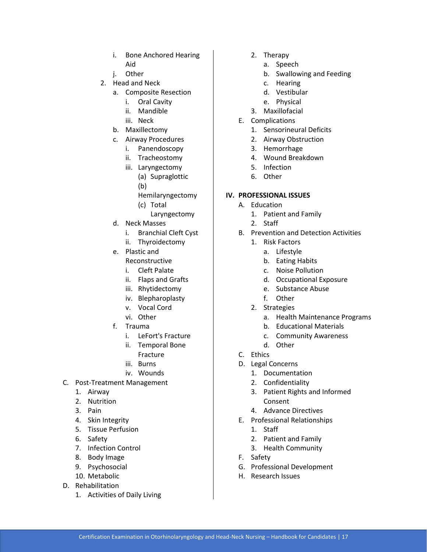- i. Bone Anchored Hearing Aid
- j. Other
- 2. Head and Neck
	- a. Composite Resection
		- i. Oral Cavity
		- ii. Mandible
		- iii. Neck
	- b. Maxillectomy
	- c. Airway Procedures
		- i. Panendoscopy
		- ii. Tracheostomy
		- iii. Laryngectomy
			- (a) Supraglottic
			- (b)
			- Hemilaryngectomy
			- (c) Total
				- Laryngectomy
	- d. Neck Masses
		- i. Branchial Cleft Cyst
		- ii. Thyroidectomy
	- e. Plastic and
		- Reconstructive
		- i. Cleft Palate
		- ii. Flaps and Grafts
		- iii. Rhytidectomy
		- iv. Blepharoplasty
		- v. Vocal Cord
		- vi. Other
	- f. Trauma
		- i. LeFort's Fracture
		- ii. Temporal Bone Fracture
		- iii. Burns
		- iv. Wounds
- C. Post-Treatment Management
	- 1. Airway
	- 2. Nutrition
	- 3. Pain
	- 4. Skin Integrity
	- 5. Tissue Perfusion
	- 6. Safety
	- 7. Infection Control
	- 8. Body Image
	- 9. Psychosocial
	- 10. Metabolic
- D. Rehabilitation
	- 1. Activities of Daily Living
- 2. Therapy
	- a. Speech
	- b. Swallowing and Feeding
	- c. Hearing
	- d. Vestibular
	- e. Physical
- 3. Maxillofacial
- E. Complications
	- 1. Sensorineural Deficits
	- 2. Airway Obstruction
	- 3. Hemorrhage
	- 4. Wound Breakdown
	- 5. Infection
	- 6. Other

#### **IV. PROFESSIONAL ISSUES**

- A. Education
	- 1. Patient and Family
	- 2. Staff
- B. Prevention and Detection Activities
	- 1. Risk Factors
		- a. Lifestyle
		- b. Eating Habits
		- c. Noise Pollution
		- d. Occupational Exposure
		- e. Substance Abuse
		- f. Other
	- 2. Strategies
		- a. Health Maintenance Programs
		- b. Educational Materials
		- c. Community Awareness
		- d. Other
- C. Ethics
- D. Legal Concerns
	- 1. Documentation
	- 2. Confidentiality
	- 3. Patient Rights and Informed Consent
	- 4. Advance Directives
- E. Professional Relationships
	- 1. Staff
	- 2. Patient and Family
	- 3. Health Community
- F. Safety
- G. Professional Development
- H. Research Issues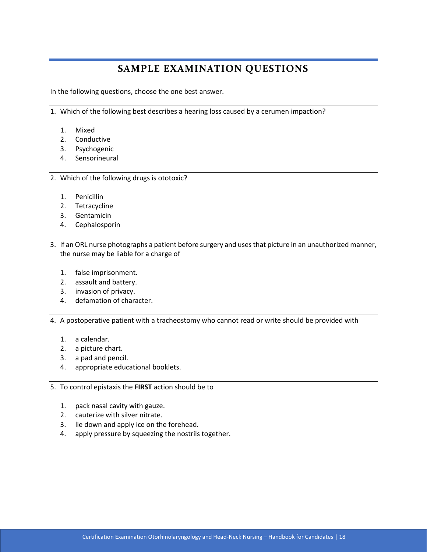## **SAMPLE EXAMINATION QUESTIONS**

<span id="page-18-0"></span>In the following questions, choose the one best answer.

1. Which of the following best describes a hearing loss caused by a cerumen impaction?

- 1. Mixed
- 2. Conductive
- 3. Psychogenic
- 4. Sensorineural
- 2. Which of the following drugs is ototoxic?
	- 1. Penicillin
	- 2. Tetracycline
	- 3. Gentamicin
	- 4. Cephalosporin
- 3. If an ORL nurse photographs a patient before surgery and uses that picture in an unauthorized manner, the nurse may be liable for a charge of
	- 1. false imprisonment.
	- 2. assault and battery.
	- 3. invasion of privacy.
	- 4. defamation of character.

4. A postoperative patient with a tracheostomy who cannot read or write should be provided with

- 1. a calendar.
- 2. a picture chart.
- 3. a pad and pencil.
- 4. appropriate educational booklets.

5. To control epistaxis the **FIRST** action should be to

- 1. pack nasal cavity with gauze.
- 2. cauterize with silver nitrate.
- 3. lie down and apply ice on the forehead.
- 4. apply pressure by squeezing the nostrils together.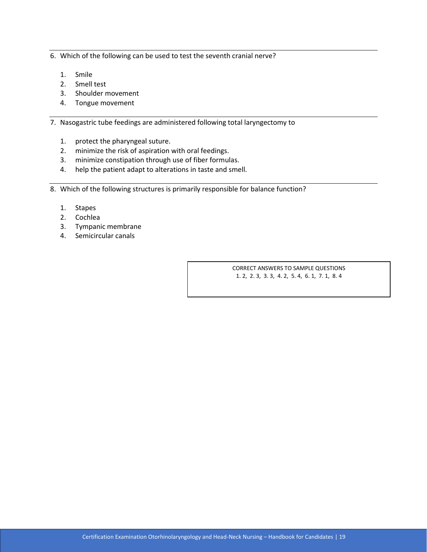6. Which of the following can be used to test the seventh cranial nerve?

- 1. Smile
- 2. Smell test
- 3. Shoulder movement
- 4. Tongue movement

7. Nasogastric tube feedings are administered following total laryngectomy to

- 1. protect the pharyngeal suture.
- 2. minimize the risk of aspiration with oral feedings.
- 3. minimize constipation through use of fiber formulas.
- 4. help the patient adapt to alterations in taste and smell.
- 8. Which of the following structures is primarily responsible for balance function?
	- 1. Stapes
	- 2. Cochlea
	- 3. Tympanic membrane
	- 4. Semicircular canals

CORRECT ANSWERS TO SAMPLE QUESTIONS 1. 2, 2. 3, 3. 3, 4. 2, 5. 4, 6. 1, 7. 1, 8. 4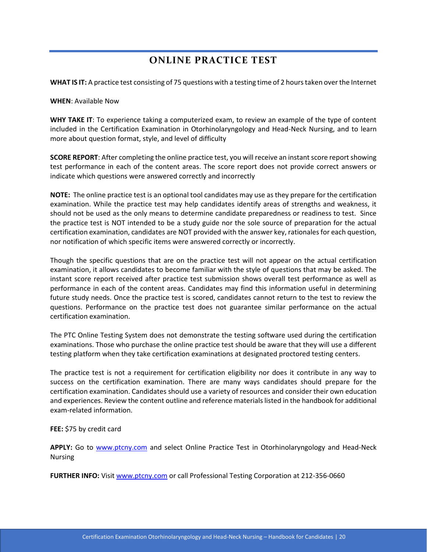## **ONLINE PRACTICE TEST**

<span id="page-20-0"></span>**WHAT IS IT:** A practice test consisting of 75 questions with a testing time of 2 hours taken over the Internet

#### **WHEN**: Available Now

**WHY TAKE IT**: To experience taking a computerized exam, to review an example of the type of content included in the Certification Examination in Otorhinolaryngology and Head-Neck Nursing, and to learn more about question format, style, and level of difficulty

**SCORE REPORT**: After completing the online practice test, you will receive an instant score report showing test performance in each of the content areas. The score report does not provide correct answers or indicate which questions were answered correctly and incorrectly

**NOTE:** The online practice test is an optional tool candidates may use as they prepare for the certification examination. While the practice test may help candidates identify areas of strengths and weakness, it should not be used as the only means to determine candidate preparedness or readiness to test. Since the practice test is NOT intended to be a study guide nor the sole source of preparation for the actual certification examination, candidates are NOT provided with the answer key, rationales for each question, nor notification of which specific items were answered correctly or incorrectly.

Though the specific questions that are on the practice test will not appear on the actual certification examination, it allows candidates to become familiar with the style of questions that may be asked. The instant score report received after practice test submission shows overall test performance as well as performance in each of the content areas. Candidates may find this information useful in determining future study needs. Once the practice test is scored, candidates cannot return to the test to review the questions. Performance on the practice test does not guarantee similar performance on the actual certification examination.

The PTC Online Testing System does not demonstrate the testing software used during the certification examinations. Those who purchase the online practice test should be aware that they will use a different testing platform when they take certification examinations at designated proctored testing centers.

The practice test is not a requirement for certification eligibility nor does it contribute in any way to success on the certification examination. There are many ways candidates should prepare for the certification examination. Candidates should use a variety of resources and consider their own education and experiences. Review the content outline and reference materials listed in the handbook for additional exam-related information.

**FEE:** \$75 by credit card

**APPLY:** Go to [www.ptcny.com](http://www.ptcny.com/) and select Online Practice Test in Otorhinolaryngology and Head-Neck Nursing

**FURTHER INFO:** Visit [www.ptcny.com](http://www.ptcny.com/) or call Professional Testing Corporation at 212-356-0660